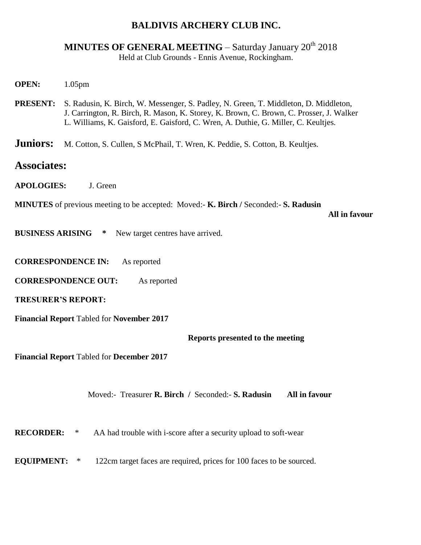## **BALDIVIS ARCHERY CLUB INC.**

## **MINUTES OF GENERAL MEETING – Saturday January 20<sup>th</sup> 2018** Held at Club Grounds - Ennis Avenue, Rockingham.

- **OPEN:** 1.05pm
- **PRESENT:** S. Radusin, K. Birch, W. Messenger, S. Padley, N. Green, T. Middleton, D. Middleton, J. Carrington, R. Birch, R. Mason, K. Storey, K. Brown, C. Brown, C. Prosser, J. Walker L. Williams, K. Gaisford, E. Gaisford, C. Wren, A. Duthie, G. Miller, C. Keultjes.
- **Juniors:** M. Cotton, S. Cullen, S. McPhail, T. Wren, K. Peddie, S. Cotton, B. Keultjes.

## **Associates:**

**APOLOGIES:** J. Green

**MINUTES** of previous meeting to be accepted: Moved:- **K. Birch /** Seconded:- **S. Radusin**

 **All in favour**

- **BUSINESS ARISING \*** New target centres have arrived.
- **CORRESPONDENCE IN:** As reported
- **CORRESPONDENCE OUT:** As reported

**TRESURER'S REPORT:**

**Financial Report** Tabled for **November 2017**

**Reports presented to the meeting**

**Financial Report** Tabled for **December 2017**

Moved:- Treasurer **R. Birch /** Seconded:- **S. Radusin All in favour**

**RECORDER:**  $*$  AA had trouble with i-score after a security upload to soft-wear

**EQUIPMENT:** \* 122cm target faces are required, prices for 100 faces to be sourced.